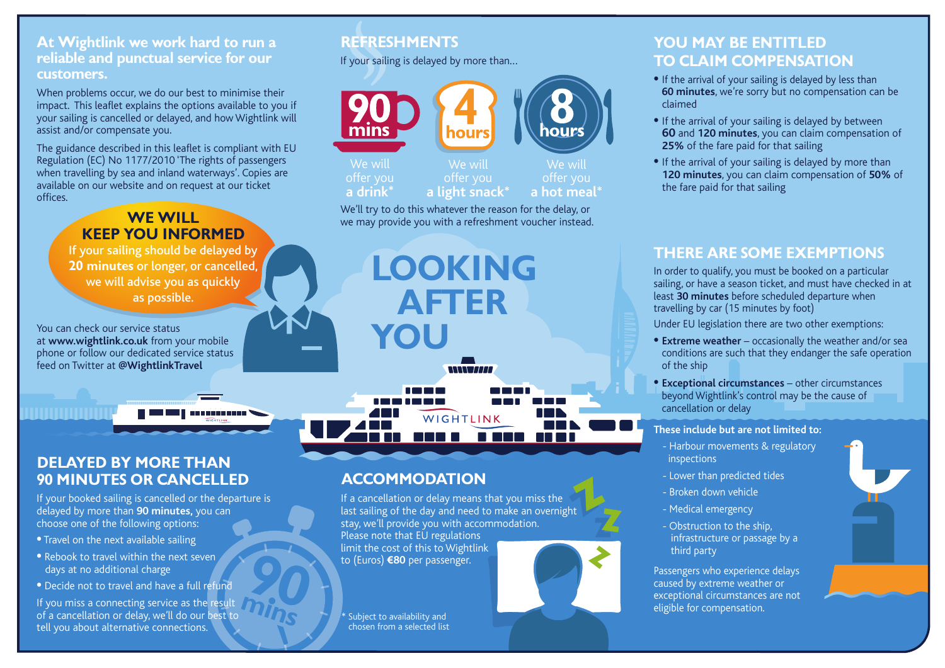#### **At Wightlink we work hard to run a reliable and punctual service for our customers.**

When problems occur, we do our best to minimise their impact. This leaflet explains the options available to you if your sailing is cancelled or delayed, and how Wightlink will assist and/or compensate you.

The guidance described in this leaflet is compliant with EU Regulation (EC) No 1177/2010 'The rights of passengers when travelling by sea and inland waterways'. Copies are available on our website and on request at our ticket offices.

## **WE WILL KEEP YOU INFORMED**

If your sailing should be delayed by **20 minutes** or longer, or cancelled, we will advise you as quickly as possible.

You can check our service status at **www.wightlink.co.uk** from your mobile phone or follow our dedicated service status feed on Twitter at **@WightlinkTravel** 

# **REFRESHMENTS**

If your sailing is delayed by more than…



We'll try to do this whatever the reason for the delay, or we may provide you with a refreshment voucher instead.

WWW.AAA

WIGHTLINK

**AND A BAD 101** 

**LOOKING**

 **AFTER**

## **YOU MAY BE ENTITLED TO CLAIM COMPENSATION**

- If the arrival of your sailing is delayed by less than **60 minutes**, we're sorry but no compensation can be claimed
- If the arrival of your sailing is delayed by between **60** and **120 minutes**, you can claim compensation of **25%** of the fare paid for that sailing
- If the arrival of your sailing is delayed by more than **120 minutes**, you can claim compensation of **50%** of the fare paid for that sailing

## **THERE ARE SOME EXEMPTIONS**

In order to qualify, you must be booked on a particular sailing, or have a season ticket, and must have checked in at least **30 minutes** before scheduled departure when travelling by car (15 minutes by foot)

Under EU legislation there are two other exemptions:

- **Extreme weather** occasionally the weather and/or sea conditions are such that they endanger the safe operation of the ship
- **Exceptional circumstances** other circumstances beyond Wightlink's control may be the cause of cancellation or delay

#### **These include but are not limited to:**

- Harbour movements & regulatory **inspections**
- Lower than predicted tides
- Broken down vehicle
- Medical emergency
- Obstruction to the ship, infrastructure or passage by a third party

Passengers who experience delays caused by extreme weather or exceptional circumstances are not eligible for compensation.



## **DELAYED BY MORE THAN 90 MINUTES OR CANCELLED**

If your booked sailing is cancelled or the departure is delayed by more than **90 minutes,** you can choose one of the following options:

- Travel on the next available sailing
- Rebook to travel within the next seven days at no additional charge
- Decide not to travel and have a full refund

If you miss a connecting service as the result of a cancellation or delay, we'll do our best to tell you about alternative connections.

# **ACCOMMODATION**

**YOU**

If a cancellation or delay means that you miss the last sailing of the day and need to make an overnight stay, we'll provide you with accommodation. Please note that EU regulations limit the cost of this to Wightlink to (Euros) **€80** per passenger.

\* Subject to availability and chosen from a selected list